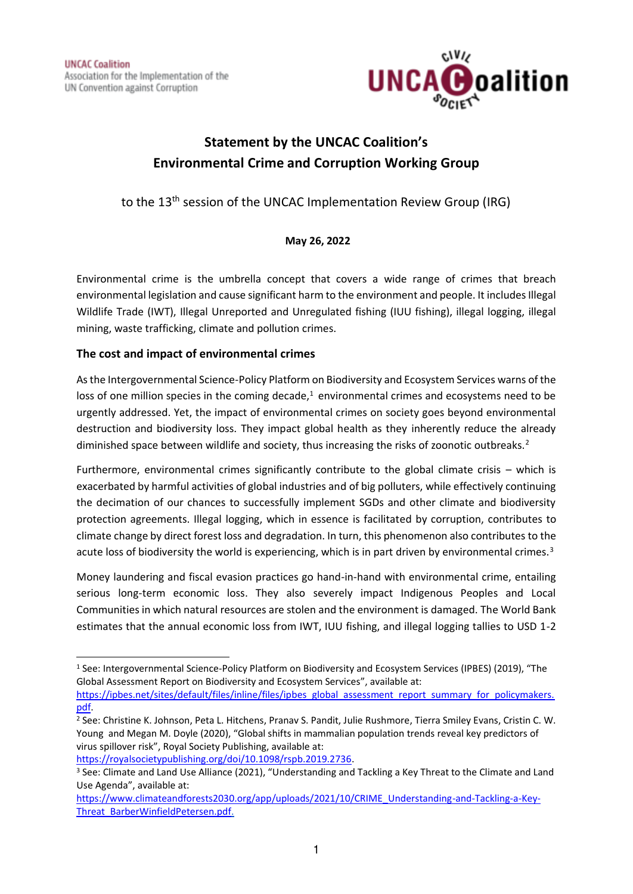

# **Statement by the UNCAC Coalition's Environmental Crime and Corruption Working Group**

to the 13th session of the UNCAC Implementation Review Group (IRG)

### **May 26, 2022**

Environmental crime is the umbrella concept that covers a wide range of crimes that breach environmental legislation and cause significant harm to the environment and people. It includes Illegal Wildlife Trade (IWT), Illegal Unreported and Unregulated fishing (IUU fishing), illegal logging, illegal mining, waste trafficking, climate and pollution crimes.

### **The cost and impact of environmental crimes**

As the Intergovernmental Science-Policy Platform on Biodiversity and Ecosystem Services warns of the loss of one million species in the coming decade, $1$  environmental crimes and ecosystems need to be urgently addressed. Yet, the impact of environmental crimes on society goes beyond environmental destruction and biodiversity loss. They impact global health as they inherently reduce the already diminished space between wildlife and society, thus increasing the risks of zoonotic outbreaks.<sup>2</sup>

Furthermore, environmental crimes significantly contribute to the global climate crisis – which is exacerbated by harmful activities of global industries and of big polluters, while effectively continuing the decimation of our chances to successfully implement SGDs and other climate and biodiversity protection agreements. Illegal logging, which in essence is facilitated by corruption, contributes to climate change by direct forest loss and degradation. In turn, this phenomenon also contributes to the acute loss of biodiversity the world is experiencing, which is in part driven by environmental crimes.<sup>3</sup>

Money laundering and fiscal evasion practices go hand-in-hand with environmental crime, entailing serious long-term economic loss. They also severely impact Indigenous Peoples and Local Communities in which natural resources are stolen and the environment is damaged. The World Bank estimates that the annual economic loss from IWT, IUU fishing, and illegal logging tallies to USD 1-2

<sup>1</sup> See: Intergovernmental Science-Policy Platform on Biodiversity and Ecosystem Services (IPBES) (2019), "The Global Assessment Report on Biodiversity and Ecosystem Services", available at:

[https://ipbes.net/sites/default/files/inline/files/ipbes\\_global\\_assessment\\_report\\_summary\\_for\\_policymakers.](https://ipbes.net/sites/default/files/inline/files/ipbes_global_assessment_report_summary_for_policymakers.pdf) [pdf.](https://ipbes.net/sites/default/files/inline/files/ipbes_global_assessment_report_summary_for_policymakers.pdf)

<sup>2</sup> See: Christine K. Johnson, Peta L. Hitchens, Pranav S. Pandit, Julie Rushmore, Tierra Smiley Evans, Cristin C. W. Young and Megan M. Doyle (2020), "Global shifts in mammalian population trends reveal key predictors of virus spillover risk", Royal Society Publishing, available at:

[https://royalsocietypublishing.org/doi/10.1098/rspb.2019.2736.](https://royalsocietypublishing.org/doi/10.1098/rspb.2019.2736)

<sup>3</sup> See: Climate and Land Use Alliance (2021), "Understanding and Tackling a Key Threat to the Climate and Land Use Agenda", available at:

[https://www.climateandforests2030.org/app/uploads/2021/10/CRIME\\_Understanding-and-Tackling-a-Key-](https://www.climateandforests2030.org/app/uploads/2021/10/CRIME_Understanding-and-Tackling-a-Key-Threat_BarberWinfieldPetersen.pdf)[Threat\\_BarberWinfieldPetersen.pdf.](https://www.climateandforests2030.org/app/uploads/2021/10/CRIME_Understanding-and-Tackling-a-Key-Threat_BarberWinfieldPetersen.pdf)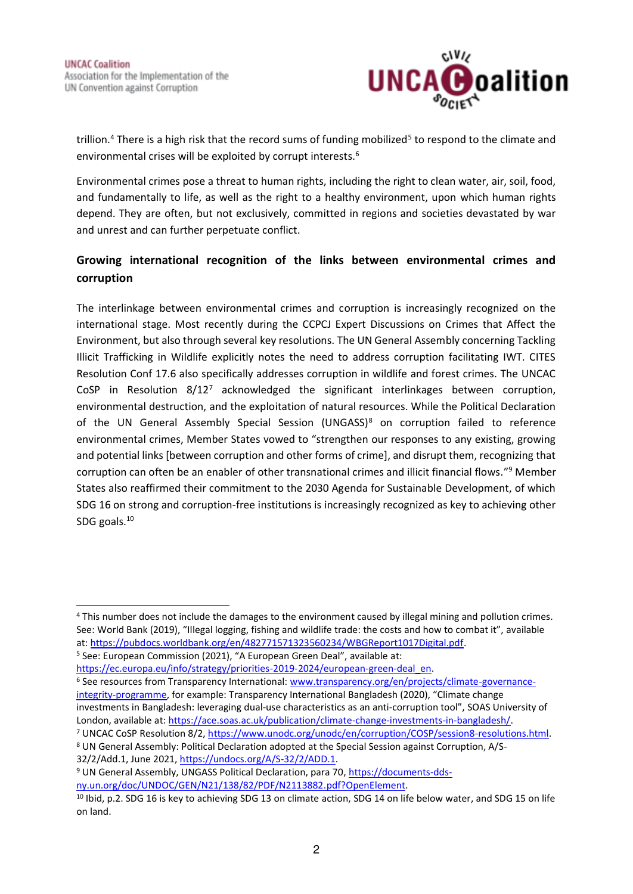

trillion.<sup>4</sup> There is a high risk that the record sums of funding mobilized<sup>5</sup> to respond to the climate and environmental crises will be exploited by corrupt interests.<sup>6</sup>

Environmental crimes pose a threat to human rights, including the right to clean water, air, soil, food, and fundamentally to life, as well as the right to a healthy environment, upon which human rights depend. They are often, but not exclusively, committed in regions and societies devastated by war and unrest and can further perpetuate conflict.

## **Growing international recognition of the links between environmental crimes and corruption**

The interlinkage between environmental crimes and corruption is increasingly recognized on the international stage. Most recently during the CCPCJ Expert Discussions on Crimes that Affect the Environment, but also through several key resolutions. The UN General Assembly concerning Tackling Illicit Trafficking in Wildlife explicitly notes the need to address corruption facilitating IWT. CITES Resolution Conf 17.6 also specifically addresses corruption in wildlife and forest crimes. The UNCAC CoSP in Resolution 8/12<sup>7</sup> acknowledged the significant interlinkages between corruption, environmental destruction, and the exploitation of natural resources. While the Political Declaration of the UN General Assembly Special Session (UNGASS)<sup>8</sup> on corruption failed to reference environmental crimes, Member States vowed to "strengthen our responses to any existing, growing and potential links [between corruption and other forms of crime], and disrupt them, recognizing that corruption can often be an enabler of other transnational crimes and illicit financial flows."<sup>9</sup> Member States also reaffirmed their commitment to the 2030 Agenda for Sustainable Development, of which SDG 16 on strong and corruption-free institutions is increasingly recognized as key to achieving other SDG goals.<sup>10</sup>

[https://ec.europa.eu/info/strategy/priorities-2019-2024/european-green-deal\\_en.](https://ec.europa.eu/info/strategy/priorities-2019-2024/european-green-deal_en)

<sup>6</sup> See resources from Transparency International: [www.transparency.org/en/projects/climate-governance](http://www.transparency.org/en/projects/climate-governance-integrity-programme)[integrity-programme](http://www.transparency.org/en/projects/climate-governance-integrity-programme), for example: Transparency International Bangladesh (2020), "Climate change investments in Bangladesh: leveraging dual-use characteristics as an anti-corruption tool", SOAS University of London, available at[: https://ace.soas.ac.uk/publication/climate-change-investments-in-bangladesh/.](https://ace.soas.ac.uk/publication/climate-change-investments-in-bangladesh/)

<sup>4</sup> This number does not include the damages to the environment caused by illegal mining and pollution crimes. See: World Bank (2019), "Illegal logging, fishing and wildlife trade: the costs and how to combat it", available at: [https://pubdocs.worldbank.org/en/482771571323560234/WBGReport1017Digital.pdf.](https://pubdocs.worldbank.org/en/482771571323560234/WBGReport1017Digital.pdf)

<sup>5</sup> See: European Commission (2021), "A European Green Deal", available at:

<sup>&</sup>lt;sup>7</sup> UNCAC CoSP Resolution 8/2, [https://www.unodc.org/unodc/en/corruption/COSP/session8-resolutions.html.](https://www.unodc.org/unodc/en/corruption/COSP/session8-resolutions.html) <sup>8</sup> UN General Assembly: Political Declaration adopted at the Special Session against Corruption, A/S-32/2/Add.1, June 2021[, https://undocs.org/A/S-32/2/ADD.1.](https://undocs.org/A/S-32/2/ADD.1)

<sup>&</sup>lt;sup>9</sup> UN General Assembly, UNGASS Political Declaration, para 70, [https://documents-dds](https://documents-dds-ny.un.org/doc/UNDOC/GEN/N21/138/82/PDF/N2113882.pdf?OpenElement)[ny.un.org/doc/UNDOC/GEN/N21/138/82/PDF/N2113882.pdf?OpenElement.](https://documents-dds-ny.un.org/doc/UNDOC/GEN/N21/138/82/PDF/N2113882.pdf?OpenElement)

<sup>&</sup>lt;sup>10</sup> Ibid, p.2. SDG 16 is key to achieving SDG 13 on climate action, SDG 14 on life below water, and SDG 15 on life on land.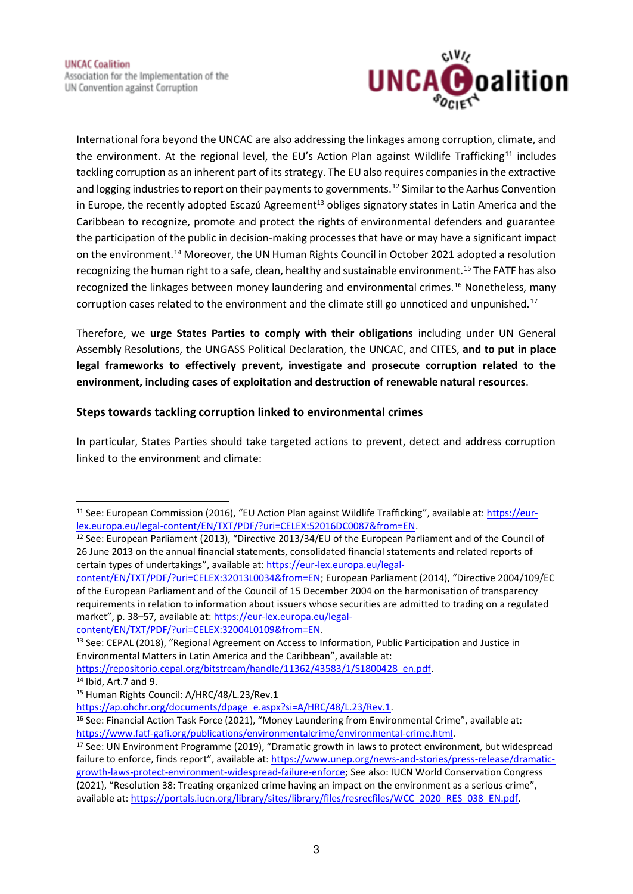

International fora beyond the UNCAC are also addressing the linkages among corruption, climate, and the environment. At the regional level, the EU's Action Plan against Wildlife Trafficking<sup>11</sup> includes tackling corruption as an inherent part of its strategy. The EU also requires companies in the extractive and logging industries to report on their payments to governments.<sup>12</sup> Similar to the Aarhus Convention in Europe, the recently adopted Escazú Agreement<sup>13</sup> obliges signatory states in Latin America and the Caribbean to recognize, promote and protect the rights of environmental defenders and guarantee the participation of the public in decision-making processes that have or may have a significant impact on the environment.<sup>14</sup> Moreover, the UN Human Rights Council in October 2021 adopted a resolution recognizing the human right to a safe, clean, healthy and sustainable environment.<sup>15</sup> The FATF has also recognized the linkages between money laundering and environmental crimes.<sup>16</sup> Nonetheless, many corruption cases related to the environment and the climate still go unnoticed and unpunished.<sup>17</sup>

Therefore, we **urge States Parties to comply with their obligations** including under UN General Assembly Resolutions, the UNGASS Political Declaration, the UNCAC, and CITES, **and to put in place legal frameworks to effectively prevent, investigate and prosecute corruption related to the environment, including cases of exploitation and destruction of renewable natural resources**.

#### **Steps towards tackling corruption linked to environmental crimes**

In particular, States Parties should take targeted actions to prevent, detect and address corruption linked to the environment and climate:

<sup>11</sup> See: European Commission (2016), "EU Action Plan against Wildlife Trafficking", available at: [https://eur](https://eur-lex.europa.eu/legal-content/EN/TXT/PDF/?uri=CELEX:52016DC0087&from=EN)[lex.europa.eu/legal-content/EN/TXT/PDF/?uri=CELEX:52016DC0087&from=EN.](https://eur-lex.europa.eu/legal-content/EN/TXT/PDF/?uri=CELEX:52016DC0087&from=EN)

<sup>12</sup> See: European Parliament (2013), "Directive 2013/34/EU of the European Parliament and of the Council of 26 June 2013 on the annual financial statements, consolidated financial statements and related reports of certain types of undertakings", available at: [https://eur-lex.europa.eu/legal-](https://eur-lex.europa.eu/legal-content/EN/TXT/PDF/?uri=CELEX:32013L0034&from=EN)

[content/EN/TXT/PDF/?uri=CELEX:32013L0034&from=EN;](https://eur-lex.europa.eu/legal-content/EN/TXT/PDF/?uri=CELEX:32013L0034&from=EN) European Parliament (2014), "Directive 2004/109/EC of the European Parliament and of the Council of 15 December 2004 on the harmonisation of transparency requirements in relation to information about issuers whose securities are admitted to trading on a regulated market", p. 38–57, available at: [https://eur-lex.europa.eu/legal-](https://eur-lex.europa.eu/legal-content/EN/TXT/PDF/?uri=CELEX:32004L0109&from=EN)

[content/EN/TXT/PDF/?uri=CELEX:32004L0109&from=EN.](https://eur-lex.europa.eu/legal-content/EN/TXT/PDF/?uri=CELEX:32004L0109&from=EN)

<sup>&</sup>lt;sup>13</sup> See: CEPAL (2018), "Regional Agreement on Access to Information, Public Participation and Justice in Environmental Matters in Latin America and the Caribbean", available at:

[https://repositorio.cepal.org/bitstream/handle/11362/43583/1/S1800428\\_en.pdf.](https://repositorio.cepal.org/bitstream/handle/11362/43583/1/S1800428_en.pdf)

<sup>14</sup> Ibid, Art.7 and 9.

<sup>15</sup> Human Rights Council: A/HRC/48/L.23/Rev.1

[https://ap.ohchr.org/documents/dpage\\_e.aspx?si=A/HRC/48/L.23/Rev.1.](https://ap.ohchr.org/documents/dpage_e.aspx?si=A/HRC/48/L.23/Rev.1)

<sup>16</sup> See: Financial Action Task Force (2021), "Money Laundering from Environmental Crime", available at: [https://www.fatf-gafi.org/publications/environmentalcrime/environmental-crime.html.](https://www.fatf-gafi.org/publications/environmentalcrime/environmental-crime.html) 

<sup>&</sup>lt;sup>17</sup> See: UN Environment Programme (2019), "Dramatic growth in laws to protect environment, but widespread failure to enforce, finds report", available at[: https://www.unep.org/news-and-stories/press-release/dramatic](https://www.unep.org/news-and-stories/press-release/dramatic-growth-laws-protect-environment-widespread-failure-enforce)[growth-laws-protect-environment-widespread-failure-enforce;](https://www.unep.org/news-and-stories/press-release/dramatic-growth-laws-protect-environment-widespread-failure-enforce) See also: IUCN World Conservation Congress (2021), "Resolution 38: Treating organized crime having an impact on the environment as a serious crime", available at: [https://portals.iucn.org/library/sites/library/files/resrecfiles/WCC\\_2020\\_RES\\_038\\_EN.pdf.](https://portals.iucn.org/library/sites/library/files/resrecfiles/WCC_2020_RES_038_EN.pdf)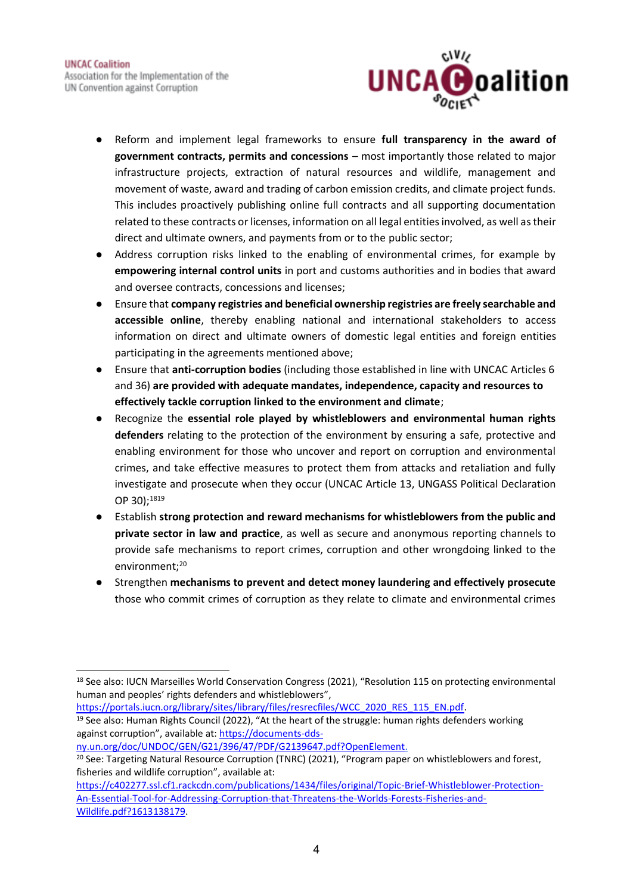

- Reform and implement legal frameworks to ensure **full transparency in the award of government contracts, permits and concessions** – most importantly those related to major infrastructure projects, extraction of natural resources and wildlife, management and movement of waste, award and trading of carbon emission credits, and climate project funds. This includes proactively publishing online full contracts and all supporting documentation related to these contracts or licenses, information on all legal entities involved, as well as their direct and ultimate owners, and payments from or to the public sector;
- Address corruption risks linked to the enabling of environmental crimes, for example by **empowering internal control units** in port and customs authorities and in bodies that award and oversee contracts, concessions and licenses;
- Ensure that **company registries and beneficial ownership registries are freely searchable and accessible online**, thereby enabling national and international stakeholders to access information on direct and ultimate owners of domestic legal entities and foreign entities participating in the agreements mentioned above;
- Ensure that **anti-corruption bodies** (including those established in line with UNCAC Articles 6 and 36) **are provided with adequate mandates, independence, capacity and resources to effectively tackle corruption linked to the environment and climate**;
- Recognize the **essential role played by whistleblowers and environmental human rights defenders** relating to the protection of the environment by ensuring a safe, protective and enabling environment for those who uncover and report on corruption and environmental crimes, and take effective measures to protect them from attacks and retaliation and fully investigate and prosecute when they occur (UNCAC Article 13, UNGASS Political Declaration OP 30);<sup>1819</sup>
- Establish **strong protection and reward mechanisms for whistleblowers from the public and private sector in law and practice**, as well as secure and anonymous reporting channels to provide safe mechanisms to report crimes, corruption and other wrongdoing linked to the environment;<sup>20</sup>
- Strengthen **mechanisms to prevent and detect money laundering and effectively prosecute** those who commit crimes of corruption as they relate to climate and environmental crimes

[https://portals.iucn.org/library/sites/library/files/resrecfiles/WCC\\_2020\\_RES\\_115\\_EN.pdf.](https://portals.iucn.org/library/sites/library/files/resrecfiles/WCC_2020_RES_115_EN.pdf) <sup>19</sup> See also: Human Rights Council (2022), "At the heart of the struggle: human rights defenders working against corruption", available at: [https://documents-dds-](https://documents-dds-ny.un.org/doc/UNDOC/GEN/G21/396/47/PDF/G2139647.pdf?OpenElement)

[ny.un.org/doc/UNDOC/GEN/G21/396/47/PDF/G2139647.pdf?OpenElement.](https://documents-dds-ny.un.org/doc/UNDOC/GEN/G21/396/47/PDF/G2139647.pdf?OpenElement)

<sup>&</sup>lt;sup>18</sup> See also: IUCN Marseilles World Conservation Congress (2021), "Resolution 115 on protecting environmental human and peoples' rights defenders and whistleblowers",

<sup>&</sup>lt;sup>20</sup> See: Targeting Natural Resource Corruption (TNRC) (2021), "Program paper on whistleblowers and forest, fisheries and wildlife corruption", available at:

[https://c402277.ssl.cf1.rackcdn.com/publications/1434/files/original/Topic-Brief-Whistleblower-Protection-](https://c402277.ssl.cf1.rackcdn.com/publications/1434/files/original/Topic-Brief-Whistleblower-Protection-An-Essential-Tool-for-Addressing-Corruption-that-Threatens-the-Worlds-Forests-Fisheries-and-Wildlife.pdf?1613138179)[An-Essential-Tool-for-Addressing-Corruption-that-Threatens-the-Worlds-Forests-Fisheries-and-](https://c402277.ssl.cf1.rackcdn.com/publications/1434/files/original/Topic-Brief-Whistleblower-Protection-An-Essential-Tool-for-Addressing-Corruption-that-Threatens-the-Worlds-Forests-Fisheries-and-Wildlife.pdf?1613138179)[Wildlife.pdf?1613138179.](https://c402277.ssl.cf1.rackcdn.com/publications/1434/files/original/Topic-Brief-Whistleblower-Protection-An-Essential-Tool-for-Addressing-Corruption-that-Threatens-the-Worlds-Forests-Fisheries-and-Wildlife.pdf?1613138179)